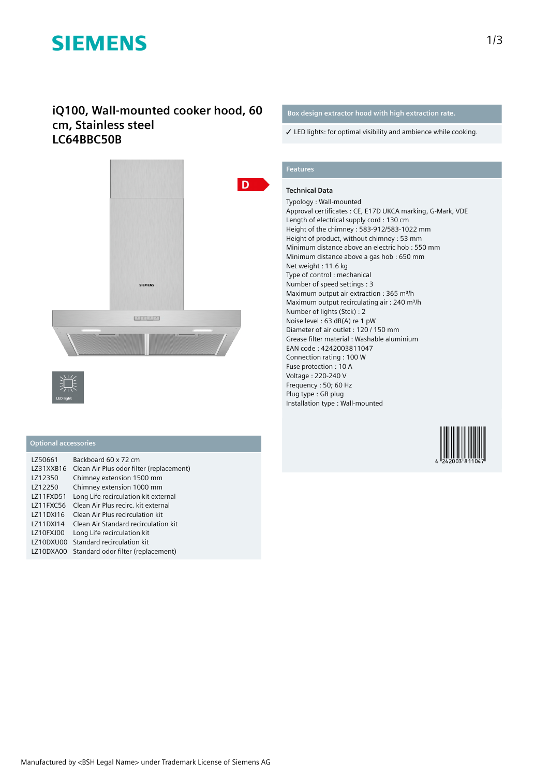# **SIEMENS**

### **iQ100, Wall-mounted cooker hood, 60 cm, Stainless steel LC64BBC50B**





#### **Optional accessories**

| LZ50661   | Backboard 60 x 72 cm                     |
|-----------|------------------------------------------|
| LZ31XXB16 | Clean Air Plus odor filter (replacement) |
| LZ12350   | Chimney extension 1500 mm                |
| LZ12250   | Chimney extension 1000 mm                |
| LZ11FXD51 | Long Life recirculation kit external     |
| LZ11FXC56 | Clean Air Plus recirc, kit external      |
| LZ11DXI16 | Clean Air Plus recirculation kit         |
| LZ11DXI14 | Clean Air Standard recirculation kit     |
| LZ10FXJ00 | Long Life recirculation kit              |
| LZ10DXU00 | Standard recirculation kit               |
| LZ10DXA00 | Standard odor filter (replacement)       |

#### **Box design extractor hood with high extraction rate.**

✓ LED lights: for optimal visibility and ambience while cooking.

### **Features**

#### **Technical Data**

Typology : Wall-mounted Approval certificates : CE, E17D UKCA marking, G-Mark, VDE Length of electrical supply cord : 130 cm Height of the chimney : 583-912/583-1022 mm Height of product, without chimney : 53 mm Minimum distance above an electric hob : 550 mm Minimum distance above a gas hob : 650 mm Net weight : 11.6 kg Type of control : mechanical Number of speed settings : 3 Maximum output air extraction : 365 m<sup>3</sup>/h Maximum output recirculating air : 240 m<sup>3</sup>/h Number of lights (Stck) : 2 Noise level : 63 dB(A) re 1 pW Diameter of air outlet : 120 / 150 mm Grease filter material : Washable aluminium EAN code : 4242003811047 Connection rating : 100 W Fuse protection : 10 A Voltage : 220-240 V Frequency : 50; 60 Hz Plug type : GB plug Installation type : Wall-mounted

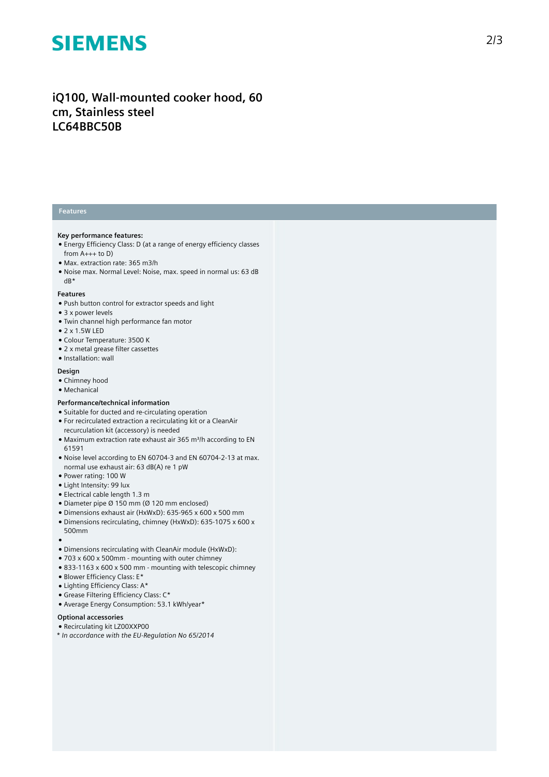## **SIEMENS**

### iQ100, Wall-mounted cooker hood, 60 cm, Stainless steel **LC64BBC50B**

#### **Features**

#### **Key performance features:**

- Energy Efficiency Class: D (at a range of energy efficiency classes from A+++ to D)
- Max. extraction rate: 365 m3/h
- Noise max. Normal Level: Noise, max. speed in normal us: 63 dB dB\*

#### **Features**

- Push button control for extractor speeds and light
- 3 x power levels
- Twin channel high performance fan motor
- 2 x 1.5W LED
- Colour Temperature: 3500 K
- 2 x metal grease filter cassettes
- Installation: wall

#### **Design**

- Chimney hood
- Mechanical

#### Performance/technical information

- Suitable for ducted and re-circulating operation
- For recirculated extraction a recirculating kit or a CleanAir recurculation kit (accessory) is needed
- Maximum extraction rate exhaust air 365 m<sup>3</sup>/h according to EN 61591
- Noise level according to EN 60704-3 and EN 60704-2-13 at max. normal use exhaust air: 63 dB(A) re 1 pW
- Power rating: 100 W
- Light Intensity: 99 lux
- Electrical cable length 1.3 m
- Diameter pipe  $\varnothing$  150 mm ( $\varnothing$  120 mm enclosed)
- Dimensions exhaust air (HxWxD): 635-965 x 600 x 500 mm
- Dimensions recirculating, chimney (HxWxD): 635-1075 x 600 x 500mm
- ●<br>● Dimensions recirculating with CleanAir module (HxWxD):
- $\bullet$  703 x 600 x 500mm mounting with outer chimney
- $\bullet$  833-1163 x 600 x 500 mm mounting with telescopic chimney
- Blower Efficiency Class: E\*
- Lighting Efficiency Class: A\*
- Grease Filtering Efficiency Class: C\*
- Average Energy Consumption: 53.1 kWh/year\*

#### Optional accessories

- Recirculating kit LZ00XXP00
- *\* In accordance with the EU-Regulation No 65/2014*